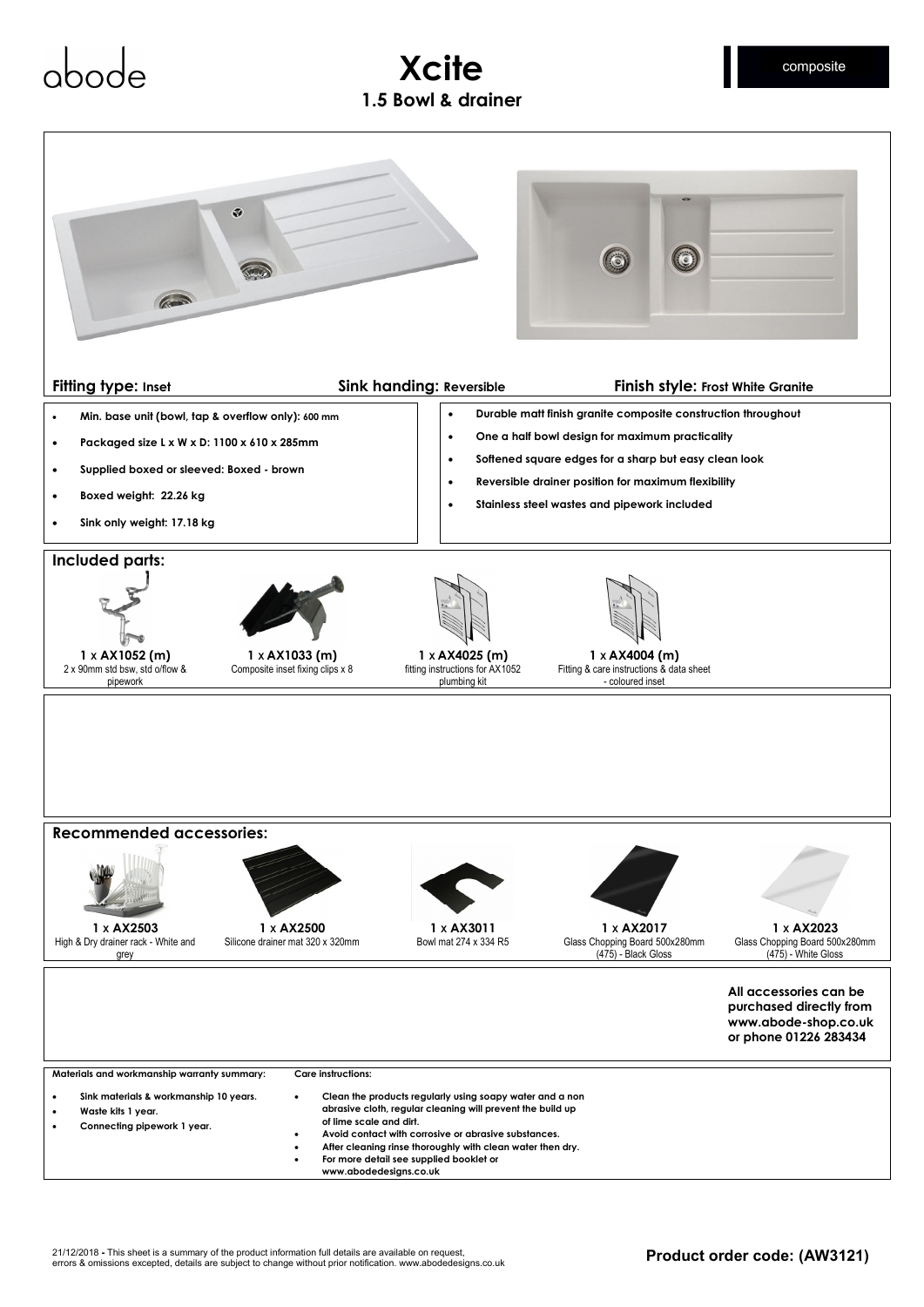

**Xcite** 

- **Avoid contact with corrosive or abrasive substances.**
- **After cleaning rinse thoroughly with clean water then dry.**
- **For more detail see supplied booklet or**
- **www.abodedesigns.co.uk**

composite